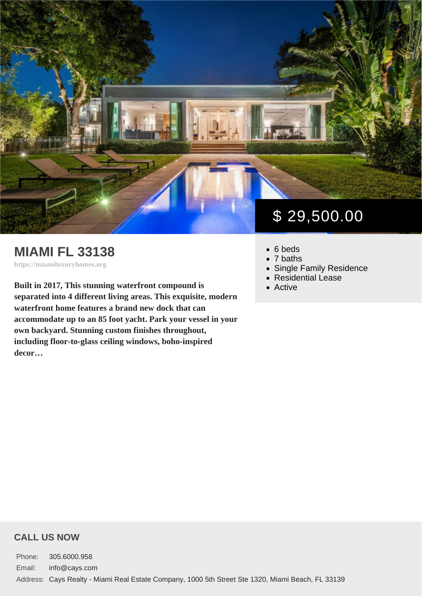## MIAMI FL 33138

https://miamiluxuryhomes.org

Built in 2017, This stunning waterfront compound is separated into 4 different living areas. This exquisite, modern waterfront home features a brand new dock that can accommodate up to an 85 foot yacht. Park your vessel in your own backyard. Stunning custom finishes throughout, including floor-to-glass ceiling windows, boho-inspired decor…

# \$ 29,500.00

- 6 beds
- 7 baths
- [Single Family Residence](https://miamiluxuryhomes.org/es_type/single-family-residence/)
- [Residential Lease](https://miamiluxuryhomes.org/es_category/residential-lease/)
- [Active](https://miamiluxuryhomes.org/es_status/active/)

#### CALL US NOW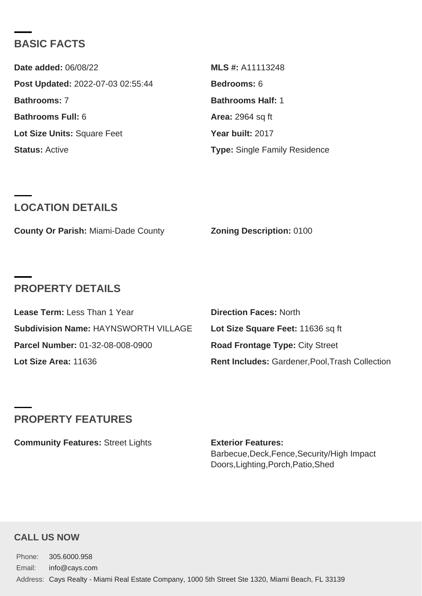### BASIC FACTS

| Date added: 06/08/22              | MLS #: A11113248                     |
|-----------------------------------|--------------------------------------|
| Post Updated: 2022-07-03 02:55:44 | Bedrooms: 6                          |
| Bathrooms: 7                      | Bathrooms Half: 1                    |
| Bathrooms Full: 6                 | Area: 2964 sq ft                     |
| Lot Size Units: Square Feet       | Year built: 2017                     |
| Status: Active                    | <b>Type: Single Family Residence</b> |

#### LOCATION DETAILS

|  | County Or Parish: Miami-Dade County | Zoning Description: 0100 |  |
|--|-------------------------------------|--------------------------|--|
|--|-------------------------------------|--------------------------|--|

### PROPERTY DETAILS

| Lease Term: Less Than 1 Year         | Direction Faces: North                          |
|--------------------------------------|-------------------------------------------------|
| Subdivision Name: HAYNSWORTH VILLAGE | Lot Size Square Feet: 11636 sq ft               |
| Parcel Number: 01-32-08-008-0900     | Road Frontage Type: City Street                 |
| Lot Size Area: 11636                 | Rent Includes: Gardener, Pool, Trash Collection |

## PROPERTY FEATURES

Community Features: Street Lights **Exterior Features:** 

Barbecue,Deck,Fence,Security/High Impact Doors,Lighting,Porch,Patio,Shed

#### CALL US NOW

Phone: 305.6000.958 Email: info@cays.com Address: Cays Realty - Miami Real Estate Company, 1000 5th Street Ste 1320, Miami Beach, FL 33139